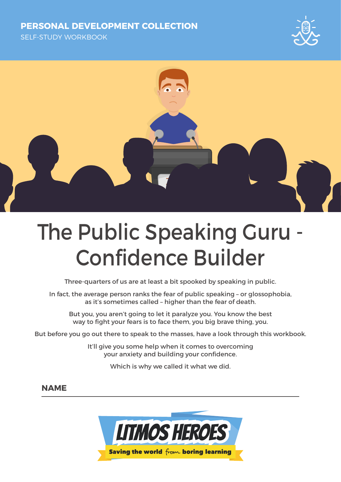#### **PERSONAL DEVELOPMENT COLLECTION**

SELF-STUDY WORKBOOK





# The Public Speaking Guru - Confidence Builder

Three-quarters of us are at least a bit spooked by speaking in public.

In fact, the average person ranks the fear of public speaking – or glossophobia, as it's sometimes called – higher than the fear of death.

But you, you aren't going to let it paralyze you. You know the best way to fight your fears is to face them, you big brave thing, you.

But before you go out there to speak to the masses, have a look through this workbook.

It'll give you some help when it comes to overcoming your anxiety and building your confidence.

Which is why we called it what we did.

#### **NAME**

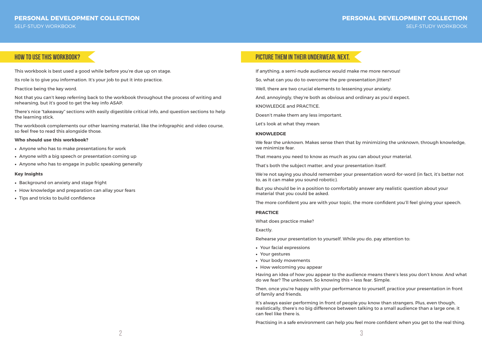### **PERSONAL DEVELOPMENT COLLECTION** SELF-STUDY WORKBOOK

This workbook is best used a good while before you're due up on stage.

Its role is to give you information. It's your job to put it into practice.

Practice being the key word.

Not that you can't keep referring back to the workbook throughout the process of writing and rehearsing, but it's good to get the key info ASAP.

There's nice "takeaway" sections with easily digestible critical info, and question sections to help the learning stick.

The workbook complements our other learning material, like the infographic and video course, so feel free to read this alongside those.

#### **Who should use this workbook?**

- Anyone who has to make presentations for work
- Anyone with a big speech or presentation coming up
- Anyone who has to engage in public speaking generally

#### **Key Insights**

- Background on anxiety and stage fright
- How knowledge and preparation can allay your fears
- Tips and tricks to build confidence

# **how to use this workbook? Picture them in their underwear. Next.**

If anything, a semi-nude audience would make me more nervous!

So, what can you do to overcome the pre-presentation jitters?

- 
- 
- Well, there are two crucial elements to lessening your anxiety.
- And, annoyingly, they're both as obvious and ordinary as you'd expect.

- 
- 
- 
- 
- 

KNOWLEDGE and PRACTICE.

Doesn't make them any less important.

Let's look at what they mean:

#### **KNOWLEDGE**

We fear the unknown. Makes sense then that by minimizing the unknown, through knowledge, we minimize fear.

That means you need to know as much as you can about your material.

That's both the subject matter, and your presentation itself.

We're not saying you should remember your presentation word-for-word (in fact, it's better not to, as it can make you sound robotic).

But you should be in a position to comfortably answer any realistic question about your material that you could be asked.

The more confident you are with your topic, the more confident you'll feel giving your speech.

#### **PRACTICE**

What does practice make?

Exactly.

Rehearse your presentation to yourself. While you do, pay attention to:

- Your facial expressions
- Your gestures
- Your body movements
- How welcoming you appear

Having an idea of how you appear to the audience means there's less you don't know. And what do we fear? The unknown. So knowing this = less fear. Simple.

Then, once you're happy with your performance to yourself, practice your presentation in front of family and friends.

It's always easier performing in front of people you know than strangers. Plus, even though, realistically, there's no big difference between talking to a small audience than a large one, it can feel like there is.

Practising in a safe environment can help you feel more confident when you get to the real thing.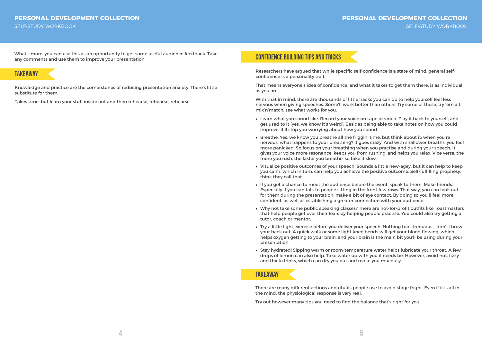#### **PERSONAL DEVELOPMENT COLLECTION** SELF-STUDY WORKBOOK

### **takeaway**

Knowledge and practice are the cornerstones of reducing presentation anxiety. There's little substitute for them.

Takes time, but learn your stuff inside out and then rehearse, rehearse, rehearse.

## **Confidence Building Tips and Tricks**

Researchers have argued that while specific self-confidence is a state of mind, general selfconfidence is a personality trait.

That means everyone's idea of confidence, and what it takes to get them there, is as individual as you are.

With that in mind, there are thousands of little hacks you can do to help yourself feel less nervous when giving speeches. Some'll work better than others. Try some of these, try 'em all, mix'n'match, see what works for you.

- Learn what you sound like. Record your voice on tape or video. Play it back to yourself, and get used to it (yes, we know it's weird). Besides being able to take notes on how you could improve, it'll stop you worrying about how you sound.
- Breathe. Yes, we know you breathe all the friggin' time, but think about it: when you're nervous, what happens to your breathing? It goes crazy. And with shallower breaths, you feel more panicked. So focus on your breathing when you practise and during your speech. It gives your voice more resonance, keeps you from rushing, and helps you relax. Vice versa, the more you rush, the faster you breathe, so take it slow.
- Visualize positive outcomes of your speech. Sounds a little new-agey, but it can help to keep you calm, which in turn, can help you achieve the positive outcome. Self-fulfilling prophesy, I think they call that.
- If you get a chance to meet the audience before the event, speak to them. Make friends. Especially if you can talk to people sitting in the front few rows. That way, you can look out for them during the presentation, make a bit of eye contact. By doing so you'll feel more confident, as well as establishing a greater connection with your audience.
- Why not take some public speaking classes? There are not-for-profit outfits like Toastmasters that help people get over their fears by helping people practise. You could also try getting a tutor, coach or mentor.
- Try a little light exercise before you deliver your speech. Nothing too strenuous don't throw your back out. A quick walk or some light knee bends will get your blood flowing, which helps oxygen getting to your brain, and your brain is the main bit you'll be using during your presentation.
- Stay hydrated! Sipping warm or room-temperature water helps lubricate your throat. A few drops of lemon can also help. Take water up with you if needs be. However, avoid hot, fizzy and thick drinks, which can dry you out and make you mucousy.

What's more, you can use this as an opportunity to get some useful audience feedback. Take any comments and use them to improve your presentation.

# **takeaway**

There are many different actions and rituals people use to avoid stage fright. Even if it is all in the mind, the physiological response is very real.

Try out however many tips you need to find the balance that's right for you.